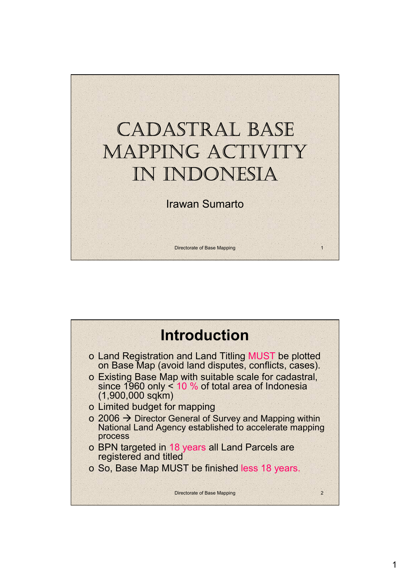

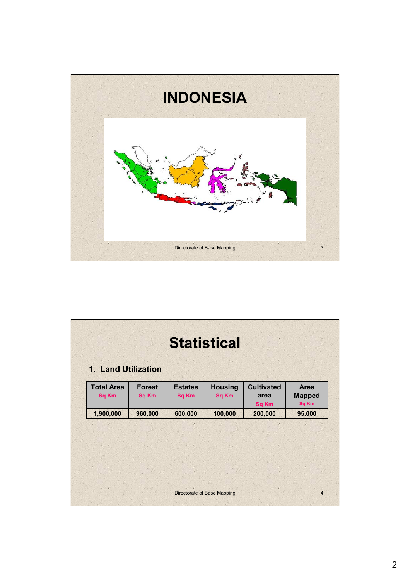

|                                   |                               |                                | <b>Statistical</b>             |                                    |                                |
|-----------------------------------|-------------------------------|--------------------------------|--------------------------------|------------------------------------|--------------------------------|
| 1. Land Utilization               |                               |                                |                                |                                    |                                |
| <b>Total Area</b><br><b>Sq Km</b> | <b>Forest</b><br><b>Sq Km</b> | <b>Estates</b><br><b>Sq Km</b> | <b>Housing</b><br><b>Sq Km</b> | <b>Cultivated</b><br>area<br>Sq Km | Area<br><b>Mapped</b><br>Sq Km |
| 1,900,000                         | 960,000                       | 600,000                        | 100,000                        | 200,000                            | 95,000                         |
|                                   |                               |                                |                                |                                    |                                |
|                                   |                               |                                |                                |                                    |                                |
|                                   |                               |                                |                                |                                    |                                |
|                                   |                               |                                |                                |                                    |                                |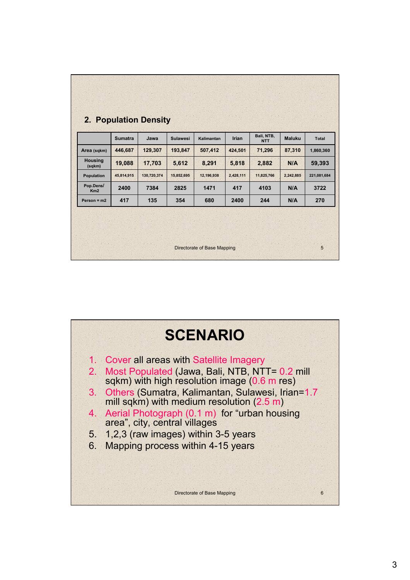|                          | <b>Sumatra</b> | Jawa        | <b>Sulawesi</b> | Kalimantan | Irian     | Bali, NTB,<br><b>NTT</b> | <b>Maluku</b> | <b>Total</b> |
|--------------------------|----------------|-------------|-----------------|------------|-----------|--------------------------|---------------|--------------|
| Area (sqkm)              | 446,687        | 129,307     | 193,847         | 507,412    | 424,501   | 71,296                   | 87,310        | 1,860,360    |
| <b>Housing</b><br>(sqkm) | 19,088         | 17,703      | 5,612           | 8,291      | 5,818     | 2,882                    | N/A           | 59,393       |
| Population               | 45,814,915     | 130,720,374 | 15,852,695      | 12,196,938 | 2,428,111 | 11,825,766               | 2,242,885     | 221,081,684  |
| Pop.Dens/<br>Km2         | 2400           | 7384        | 2825            | 1471       | 417       | 4103                     | N/A           | 3722         |
| Person = $m2$            | 417            | 135         | 354             | 680        | 2400      | 244                      | N/A           | 270          |
|                          |                |             |                 |            |           |                          |               |              |

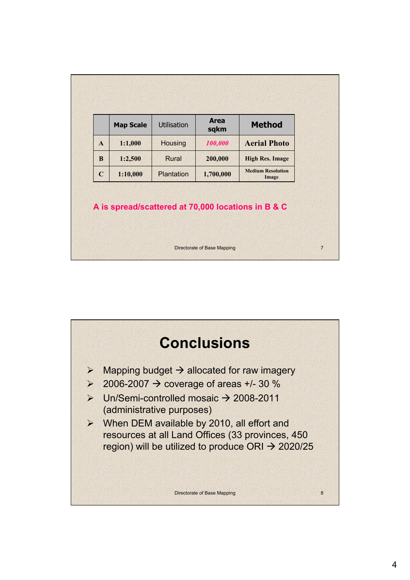| <b>Aerial Photo</b>                      |
|------------------------------------------|
| <b>High Res. Image</b>                   |
| <b>Medium Resolution</b><br><b>Image</b> |
|                                          |